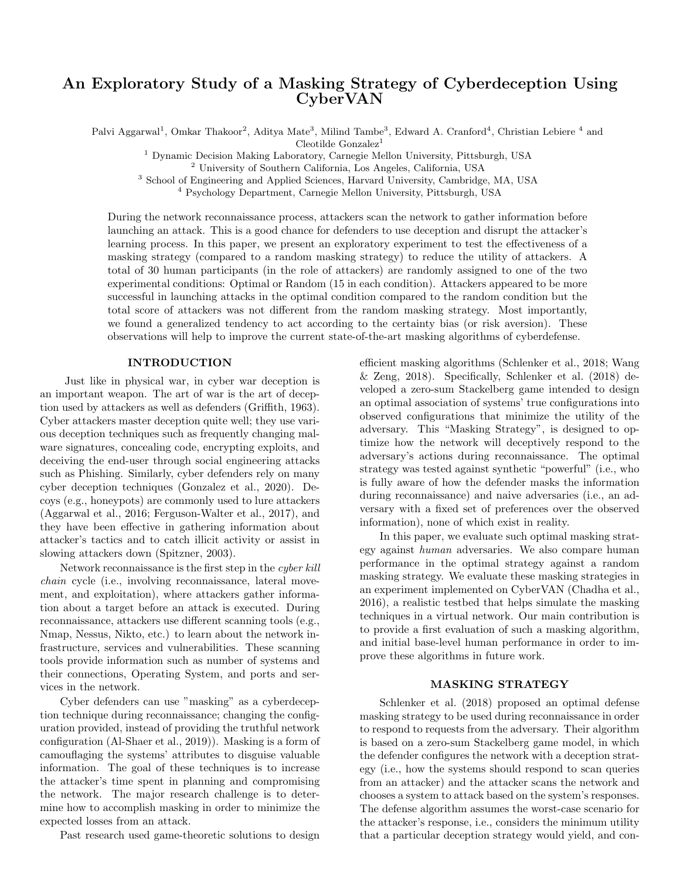# An Exploratory Study of a Masking Strategy of Cyberdeception Using CyberVAN

Palvi Aggarwal<sup>1</sup>, Omkar Thakoor<sup>2</sup>, Aditya Mate<sup>3</sup>, Milind Tambe<sup>3</sup>, Edward A. Cranford<sup>4</sup>, Christian Lebiere <sup>4</sup> and

 $C$ leotilde Gonzalez<sup>1</sup>

<sup>1</sup> Dynamic Decision Making Laboratory, Carnegie Mellon University, Pittsburgh, USA

<sup>2</sup> University of Southern California, Los Angeles, California, USA

<sup>3</sup> School of Engineering and Applied Sciences, Harvard University, Cambridge, MA, USA

<sup>4</sup> Psychology Department, Carnegie Mellon University, Pittsburgh, USA

During the network reconnaissance process, attackers scan the network to gather information before launching an attack. This is a good chance for defenders to use deception and disrupt the attacker's learning process. In this paper, we present an exploratory experiment to test the effectiveness of a masking strategy (compared to a random masking strategy) to reduce the utility of attackers. A total of 30 human participants (in the role of attackers) are randomly assigned to one of the two experimental conditions: Optimal or Random (15 in each condition). Attackers appeared to be more successful in launching attacks in the optimal condition compared to the random condition but the total score of attackers was not different from the random masking strategy. Most importantly, we found a generalized tendency to act according to the certainty bias (or risk aversion). These observations will help to improve the current state-of-the-art masking algorithms of cyberdefense.

### INTRODUCTION

Just like in physical war, in cyber war deception is an important weapon. The art of war is the art of deception used by attackers as well as defenders (Griffith, 1963). Cyber attackers master deception quite well; they use various deception techniques such as frequently changing malware signatures, concealing code, encrypting exploits, and deceiving the end-user through social engineering attacks such as Phishing. Similarly, cyber defenders rely on many cyber deception techniques (Gonzalez et al., 2020). Decoys (e.g., honeypots) are commonly used to lure attackers (Aggarwal et al., 2016; Ferguson-Walter et al., 2017), and they have been effective in gathering information about attacker's tactics and to catch illicit activity or assist in slowing attackers down (Spitzner, 2003).

Network reconnaissance is the first step in the cyber kill chain cycle (i.e., involving reconnaissance, lateral movement, and exploitation), where attackers gather information about a target before an attack is executed. During reconnaissance, attackers use different scanning tools (e.g., Nmap, Nessus, Nikto, etc.) to learn about the network infrastructure, services and vulnerabilities. These scanning tools provide information such as number of systems and their connections, Operating System, and ports and services in the network.

Cyber defenders can use "masking" as a cyberdeception technique during reconnaissance; changing the configuration provided, instead of providing the truthful network configuration (Al-Shaer et al., 2019)). Masking is a form of camouflaging the systems' attributes to disguise valuable information. The goal of these techniques is to increase the attacker's time spent in planning and compromising the network. The major research challenge is to determine how to accomplish masking in order to minimize the expected losses from an attack.

Past research used game-theoretic solutions to design

efficient masking algorithms (Schlenker et al., 2018; Wang  $&$  Zeng, 2018). Specifically, Schlenker et al. (2018) developed a zero-sum Stackelberg game intended to design an optimal association of systems' true configurations into observed configurations that minimize the utility of the adversary. This "Masking Strategy", is designed to optimize how the network will deceptively respond to the adversary's actions during reconnaissance. The optimal strategy was tested against synthetic "powerful" (i.e., who is fully aware of how the defender masks the information during reconnaissance) and naive adversaries (i.e., an adversary with a fixed set of preferences over the observed information), none of which exist in reality.

In this paper, we evaluate such optimal masking strategy against human adversaries. We also compare human performance in the optimal strategy against a random masking strategy. We evaluate these masking strategies in an experiment implemented on CyberVAN (Chadha et al., 2016), a realistic testbed that helps simulate the masking techniques in a virtual network. Our main contribution is to provide a first evaluation of such a masking algorithm, and initial base-level human performance in order to improve these algorithms in future work.

### MASKING STRATEGY

Schlenker et al. (2018) proposed an optimal defense masking strategy to be used during reconnaissance in order to respond to requests from the adversary. Their algorithm is based on a zero-sum Stackelberg game model, in which the defender configures the network with a deception strategy (i.e., how the systems should respond to scan queries from an attacker) and the attacker scans the network and chooses a system to attack based on the system's responses. The defense algorithm assumes the worst-case scenario for the attacker's response, i.e., considers the minimum utility that a particular deception strategy would yield, and con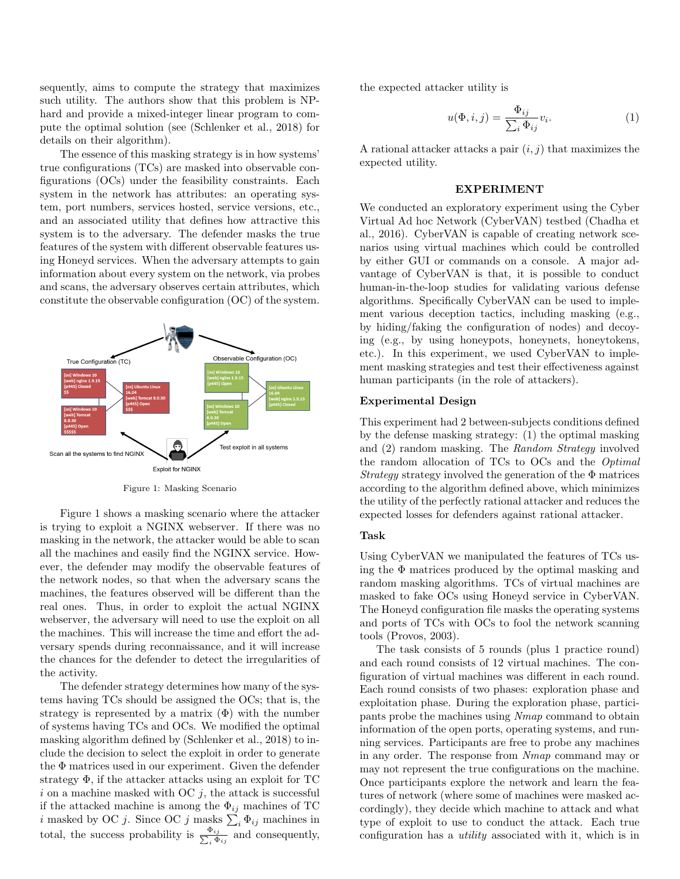sequently, aims to compute the strategy that maximizes such utility. The authors show that this problem is NPhard and provide a mixed-integer linear program to compute the optimal solution (see (Schlenker et al., 2018) for details on their algorithm).

The essence of this masking strategy is in how systems' true configurations (TCs) are masked into observable configurations (OCs) under the feasibility constraints. Each system in the network has attributes: an operating system, port numbers, services hosted, service versions, etc., and an associated utility that defines how attractive this system is to the adversary. The defender masks the true features of the system with different observable features using Honeyd services. When the adversary attempts to gain information about every system on the network, via probes and scans, the adversary observes certain attributes, which constitute the observable configuration (OC) of the system.



Figure 1: Masking Scenario

Figure 1 shows a masking scenario where the attacker is trying to exploit a NGINX webserver. If there was no masking in the network, the attacker would be able to scan all the machines and easily find the NGINX service. However, the defender may modify the observable features of the network nodes, so that when the adversary scans the machines, the features observed will be different than the real ones. Thus, in order to exploit the actual NGINX webserver, the adversary will need to use the exploit on all the machines. This will increase the time and effort the adversary spends during reconnaissance, and it will increase the chances for the defender to detect the irregularities of the activity.

The defender strategy determines how many of the systems having TCs should be assigned the OCs; that is, the strategy is represented by a matrix  $(\Phi)$  with the number of systems having TCs and OCs. We modified the optimal masking algorithm defined by (Schlenker et al., 2018) to include the decision to select the exploit in order to generate the Φ matrices used in our experiment. Given the defender strategy Φ, if the attacker attacks using an exploit for TC i on a machine masked with OC  $j$ , the attack is successful if the attacked machine is among the  $\Phi_{ij}$  machines of TC *i* masked by OC *j*. Since OC *j* masks  $\sum_i \Phi_{ij}$  machines in total, the success probability is  $\frac{\Phi_{ij}}{\sum_i \Phi_i}$  $\frac{\mathbf{p}_{ij}}{i \Phi_{ij}}$  and consequently,

the expected attacker utility is

$$
u(\Phi, i, j) = \frac{\Phi_{ij}}{\sum_{i} \Phi_{ij}} v_i.
$$
 (1)

A rational attacker attacks a pair  $(i, j)$  that maximizes the expected utility.

### EXPERIMENT

We conducted an exploratory experiment using the Cyber Virtual Ad hoc Network (CyberVAN) testbed (Chadha et al., 2016). CyberVAN is capable of creating network scenarios using virtual machines which could be controlled by either GUI or commands on a console. A major advantage of CyberVAN is that, it is possible to conduct human-in-the-loop studies for validating various defense algorithms. Specifically CyberVAN can be used to implement various deception tactics, including masking (e.g., by hiding/faking the configuration of nodes) and decoying (e.g., by using honeypots, honeynets, honeytokens, etc.). In this experiment, we used CyberVAN to implement masking strategies and test their effectiveness against human participants (in the role of attackers).

## Experimental Design

This experiment had 2 between-subjects conditions defined by the defense masking strategy: (1) the optimal masking and (2) random masking. The Random Strategy involved the random allocation of TCs to OCs and the Optimal *Strategy* strategy involved the generation of the  $\Phi$  matrices according to the algorithm defined above, which minimizes the utility of the perfectly rational attacker and reduces the expected losses for defenders against rational attacker.

# Task

Using CyberVAN we manipulated the features of TCs using the  $\Phi$  matrices produced by the optimal masking and random masking algorithms. TCs of virtual machines are masked to fake OCs using Honeyd service in CyberVAN. The Honeyd configuration file masks the operating systems and ports of TCs with OCs to fool the network scanning tools (Provos, 2003).

The task consists of 5 rounds (plus 1 practice round) and each round consists of 12 virtual machines. The configuration of virtual machines was different in each round. Each round consists of two phases: exploration phase and exploitation phase. During the exploration phase, participants probe the machines using Nmap command to obtain information of the open ports, operating systems, and running services. Participants are free to probe any machines in any order. The response from Nmap command may or may not represent the true configurations on the machine. Once participants explore the network and learn the features of network (where some of machines were masked accordingly), they decide which machine to attack and what type of exploit to use to conduct the attack. Each true configuration has a utility associated with it, which is in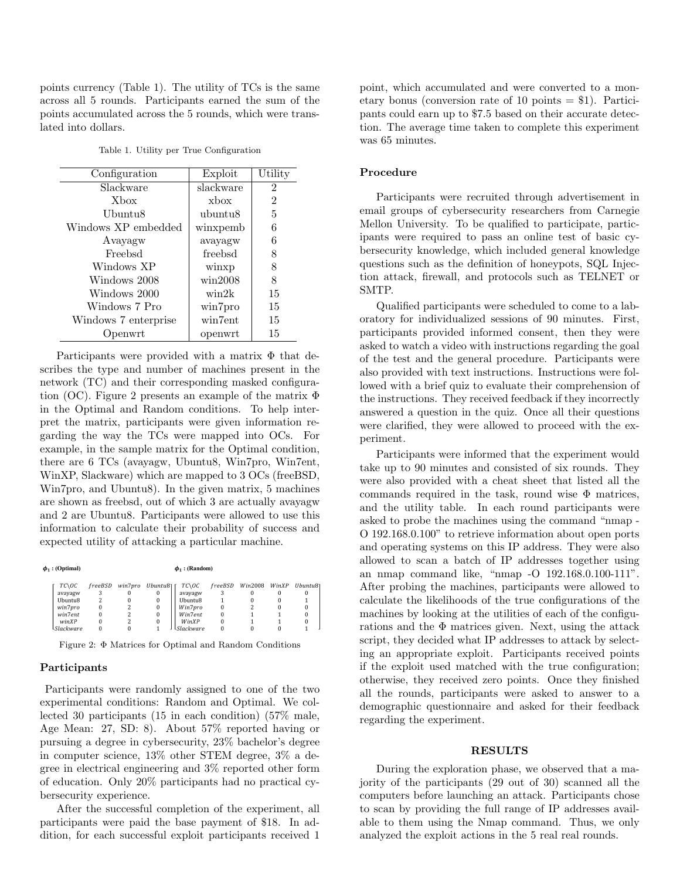points currency (Table 1). The utility of TCs is the same across all 5 rounds. Participants earned the sum of the points accumulated across the 5 rounds, which were translated into dollars.

Table 1. Utility per True Configuration

| Configuration        | Exploit   | Utility        |
|----------------------|-----------|----------------|
| Slackware            | slackware | $\overline{2}$ |
| Xbox                 | xbox      | $\overline{2}$ |
| Ubuntu8              | ubuntu8   | 5              |
| Windows XP embedded  | winxpemb  | 6              |
| Avayagw              | avayagw   | 6              |
| Freebsd              | freebsd   | 8              |
| Windows XP           | winxp     | 8              |
| Windows 2008         | win2008   | 8              |
| Windows 2000         | win2k     | 15             |
| Windows 7 Pro        | win7pro   | 15             |
| Windows 7 enterprise | win7ent   | 15             |
| Dpenwrt              | openwrt   | 15             |

Participants were provided with a matrix Φ that describes the type and number of machines present in the network (TC) and their corresponding masked configuration (OC). Figure 2 presents an example of the matrix Φ in the Optimal and Random conditions. To help interpret the matrix, participants were given information regarding the way the TCs were mapped into OCs. For example, in the sample matrix for the Optimal condition, there are 6 TCs (avayagw, Ubuntu8, Win7pro, Win7ent, WinXP, Slackware) which are mapped to 3 OCs (freeBSD, Win7pro, and Ubuntu8). In the given matrix, 5 machines are shown as freebsd, out of which 3 are actually avayagw and 2 are Ubuntu8. Participants were allowed to use this information to calculate their probability of success and expected utility of attacking a particular machine.

| $\phi_1$ : (Optimal) | $\phi_1$ : (Random) |         |            |                  |          |                 |       |          |  |
|----------------------|---------------------|---------|------------|------------------|----------|-----------------|-------|----------|--|
| $TC\setminus OC$     | freeBSD             | win7pro | Ubuntu81 I | $TC\setminus OC$ |          | freeBSD Win2008 | WinXP | Ubuntu81 |  |
| avayagw              | 3                   | 0       | 0          | avayagw          |          |                 |       |          |  |
| Ubuntu8              |                     | 0       | $\Omega$   | Ubuntu8          |          |                 |       |          |  |
| win7pro              | $\mathbf{0}$        | 2       | 0          | Win7pro          | 0        |                 |       |          |  |
| win7ent              | $\Omega$            |         | 0          | Win7ent          | $\theta$ |                 |       |          |  |
| winXP                | $\mathbf{0}$        |         | $\Omega$   | WinXP            | $\theta$ |                 |       |          |  |
| Slackware            |                     |         |            | -Slackware       | O        |                 |       |          |  |

Figure 2: Φ Matrices for Optimal and Random Conditions

### Participants

Participants were randomly assigned to one of the two experimental conditions: Random and Optimal. We collected 30 participants (15 in each condition) (57% male, Age Mean: 27, SD: 8). About 57% reported having or pursuing a degree in cybersecurity, 23% bachelor's degree in computer science, 13% other STEM degree, 3% a degree in electrical engineering and 3% reported other form of education. Only 20% participants had no practical cybersecurity experience.

After the successful completion of the experiment, all participants were paid the base payment of \$18. In addition, for each successful exploit participants received 1 point, which accumulated and were converted to a monetary bonus (conversion rate of 10 points  $= $1$ ). Participants could earn up to \$7.5 based on their accurate detection. The average time taken to complete this experiment was 65 minutes.

### Procedure

Participants were recruited through advertisement in email groups of cybersecurity researchers from Carnegie Mellon University. To be qualified to participate, participants were required to pass an online test of basic cybersecurity knowledge, which included general knowledge questions such as the definition of honeypots, SQL Injection attack, firewall, and protocols such as TELNET or SMTP.

Qualified participants were scheduled to come to a laboratory for individualized sessions of 90 minutes. First, participants provided informed consent, then they were asked to watch a video with instructions regarding the goal of the test and the general procedure. Participants were also provided with text instructions. Instructions were followed with a brief quiz to evaluate their comprehension of the instructions. They received feedback if they incorrectly answered a question in the quiz. Once all their questions were clarified, they were allowed to proceed with the experiment.

Participants were informed that the experiment would take up to 90 minutes and consisted of six rounds. They were also provided with a cheat sheet that listed all the commands required in the task, round wise Φ matrices, and the utility table. In each round participants were asked to probe the machines using the command "nmap - O 192.168.0.100" to retrieve information about open ports and operating systems on this IP address. They were also allowed to scan a batch of IP addresses together using an nmap command like, "nmap -O 192.168.0.100-111". After probing the machines, participants were allowed to calculate the likelihoods of the true configurations of the machines by looking at the utilities of each of the configurations and the  $\Phi$  matrices given. Next, using the attack script, they decided what IP addresses to attack by selecting an appropriate exploit. Participants received points if the exploit used matched with the true configuration; otherwise, they received zero points. Once they finished all the rounds, participants were asked to answer to a demographic questionnaire and asked for their feedback regarding the experiment.

# RESULTS

During the exploration phase, we observed that a majority of the participants (29 out of 30) scanned all the computers before launching an attack. Participants chose to scan by providing the full range of IP addresses available to them using the Nmap command. Thus, we only analyzed the exploit actions in the 5 real real rounds.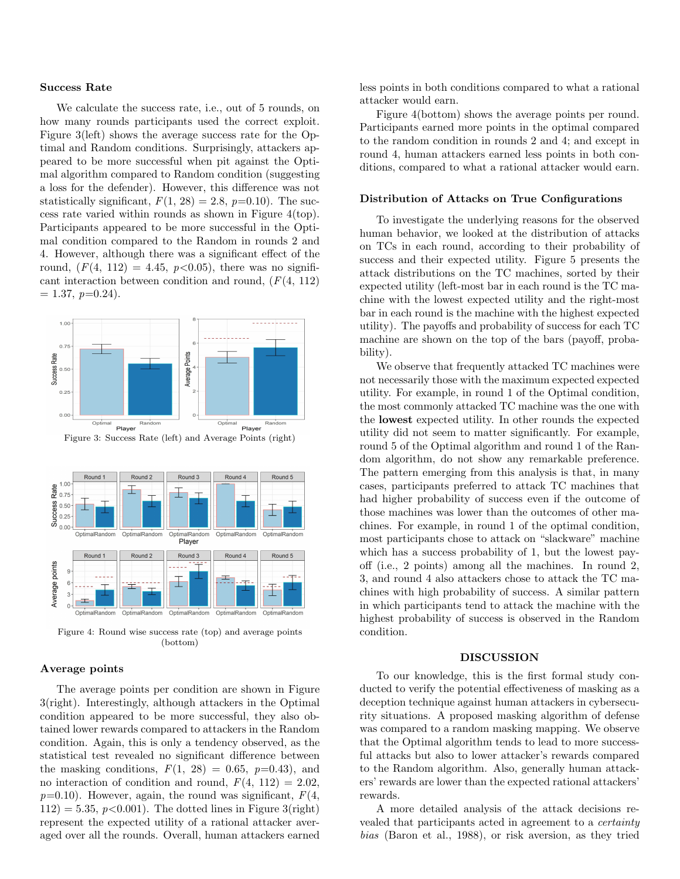#### Success Rate

We calculate the success rate, i.e., out of 5 rounds, on how many rounds participants used the correct exploit. Figure 3(left) shows the average success rate for the Optimal and Random conditions. Surprisingly, attackers appeared to be more successful when pit against the Optimal algorithm compared to Random condition (suggesting a loss for the defender). However, this difference was not statistically significant,  $F(1, 28) = 2.8$ ,  $p=0.10$ ). The success rate varied within rounds as shown in Figure 4(top). Participants appeared to be more successful in the Optimal condition compared to the Random in rounds 2 and 4. However, although there was a significant effect of the round,  $(F(4, 112) = 4.45, p<0.05)$ , there was no significant interaction between condition and round,  $(F(4, 112))$  $= 1.37, p=0.24$ .



Figure 4: Round wise success rate (top) and average points (bottom)

### Average points

The average points per condition are shown in Figure 3(right). Interestingly, although attackers in the Optimal condition appeared to be more successful, they also obtained lower rewards compared to attackers in the Random condition. Again, this is only a tendency observed, as the statistical test revealed no significant difference between the masking conditions,  $F(1, 28) = 0.65$ ,  $p=0.43$ , and no interaction of condition and round,  $F(4, 112) = 2.02$ ,  $p=0.10$ ). However, again, the round was significant,  $F(4, 1)$  $112$ ) = 5.35, p<0.001). The dotted lines in Figure 3(right) represent the expected utility of a rational attacker averaged over all the rounds. Overall, human attackers earned less points in both conditions compared to what a rational attacker would earn.

Figure 4(bottom) shows the average points per round. Participants earned more points in the optimal compared to the random condition in rounds 2 and 4; and except in round 4, human attackers earned less points in both conditions, compared to what a rational attacker would earn.

#### Distribution of Attacks on True Configurations

To investigate the underlying reasons for the observed human behavior, we looked at the distribution of attacks on TCs in each round, according to their probability of success and their expected utility. Figure 5 presents the attack distributions on the TC machines, sorted by their expected utility (left-most bar in each round is the TC machine with the lowest expected utility and the right-most bar in each round is the machine with the highest expected utility). The payoffs and probability of success for each TC machine are shown on the top of the bars (payoff, probability).

We observe that frequently attacked TC machines were not necessarily those with the maximum expected expected utility. For example, in round 1 of the Optimal condition, the most commonly attacked TC machine was the one with the lowest expected utility. In other rounds the expected utility did not seem to matter significantly. For example, round 5 of the Optimal algorithm and round 1 of the Random algorithm, do not show any remarkable preference. The pattern emerging from this analysis is that, in many cases, participants preferred to attack TC machines that had higher probability of success even if the outcome of those machines was lower than the outcomes of other machines. For example, in round 1 of the optimal condition, most participants chose to attack on "slackware" machine which has a success probability of 1, but the lowest payoff (i.e., 2 points) among all the machines. In round 2, 3, and round 4 also attackers chose to attack the TC machines with high probability of success. A similar pattern in which participants tend to attack the machine with the highest probability of success is observed in the Random condition.

#### DISCUSSION

To our knowledge, this is the first formal study conducted to verify the potential effectiveness of masking as a deception technique against human attackers in cybersecurity situations. A proposed masking algorithm of defense was compared to a random masking mapping. We observe that the Optimal algorithm tends to lead to more successful attacks but also to lower attacker's rewards compared to the Random algorithm. Also, generally human attackers' rewards are lower than the expected rational attackers' rewards.

A more detailed analysis of the attack decisions revealed that participants acted in agreement to a certainty bias (Baron et al., 1988), or risk aversion, as they tried